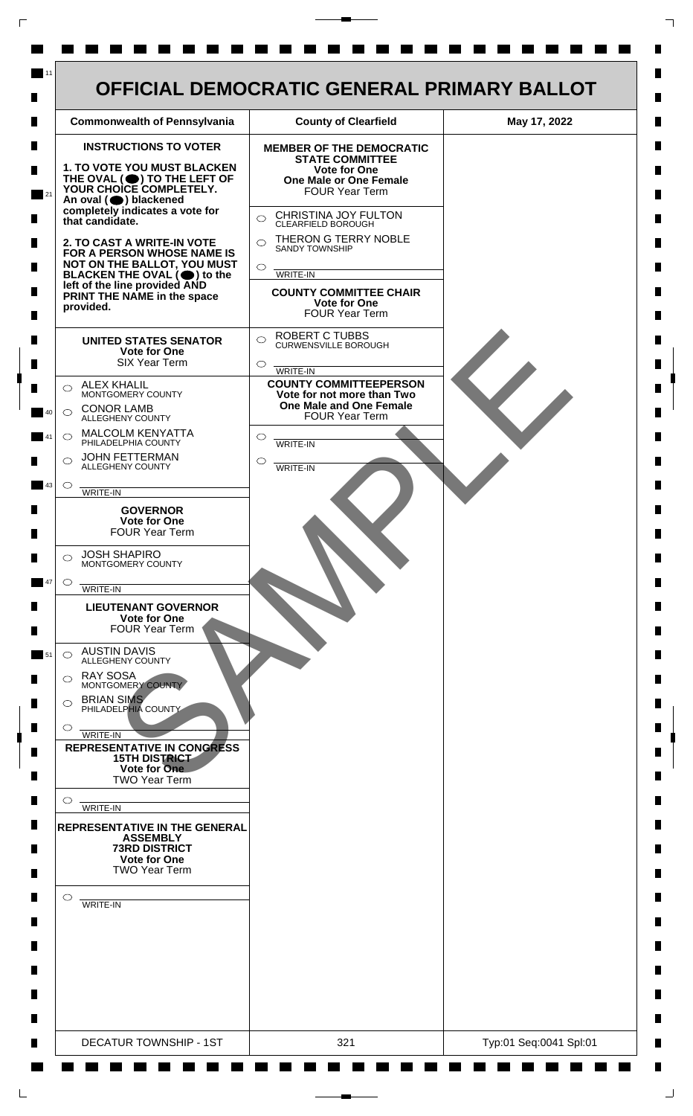

 $\mathsf{L}$ 

 $\Box$